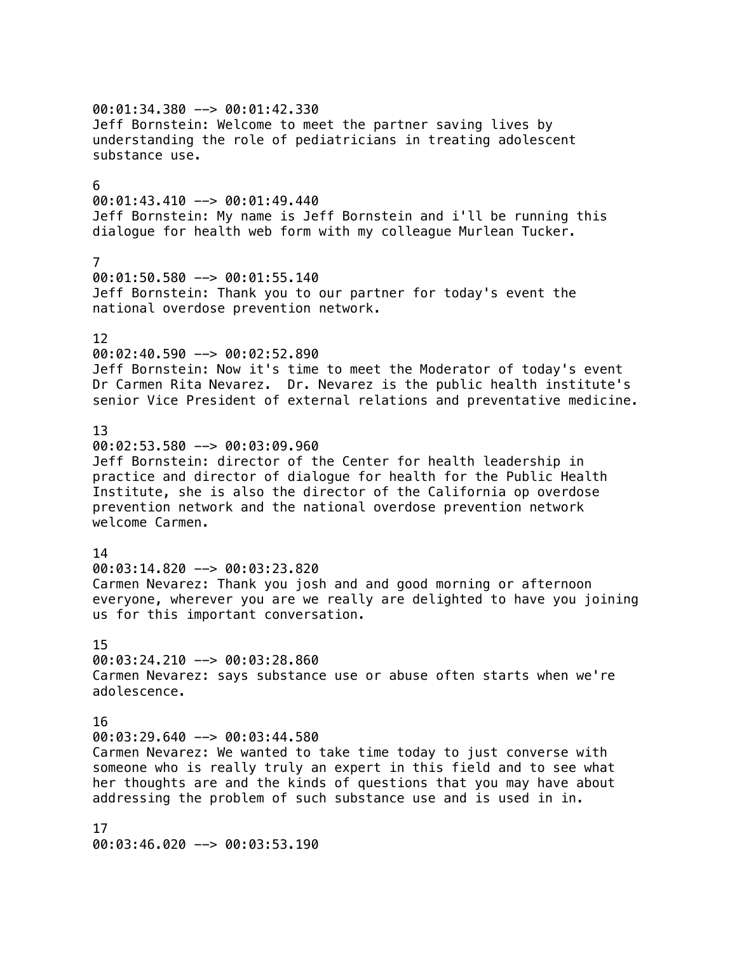00:01:34.380 --> 00:01:42.330 Jeff Bornstein: Welcome to meet the partner saving lives by understanding the role of pediatricians in treating adolescent substance use. 6  $00:01:43.410$  -->  $00:01:49.440$ Jeff Bornstein: My name is Jeff Bornstein and i'll be running this dialogue for health web form with my colleague Murlean Tucker. 7 00:01:50.580 --> 00:01:55.140 Jeff Bornstein: Thank you to our partner for today's event the national overdose prevention network. 12 00:02:40.590 --> 00:02:52.890 Jeff Bornstein: Now it's time to meet the Moderator of today's event Dr Carmen Rita Nevarez. Dr. Nevarez is the public health institute's senior Vice President of external relations and preventative medicine. 13 00:02:53.580 --> 00:03:09.960 Jeff Bornstein: director of the Center for health leadership in practice and director of dialogue for health for the Public Health Institute, she is also the director of the California op overdose prevention network and the national overdose prevention network welcome Carmen. 14 00:03:14.820 --> 00:03:23.820 Carmen Nevarez: Thank you josh and and good morning or afternoon everyone, wherever you are we really are delighted to have you joining us for this important conversation. 15 00:03:24.210 --> 00:03:28.860 Carmen Nevarez: says substance use or abuse often starts when we're adolescence. 16  $00:03:29.640$  -->  $00:03:44.580$ Carmen Nevarez: We wanted to take time today to just converse with someone who is really truly an expert in this field and to see what her thoughts are and the kinds of questions that you may have about addressing the problem of such substance use and is used in in. 17

00:03:46.020 --> 00:03:53.190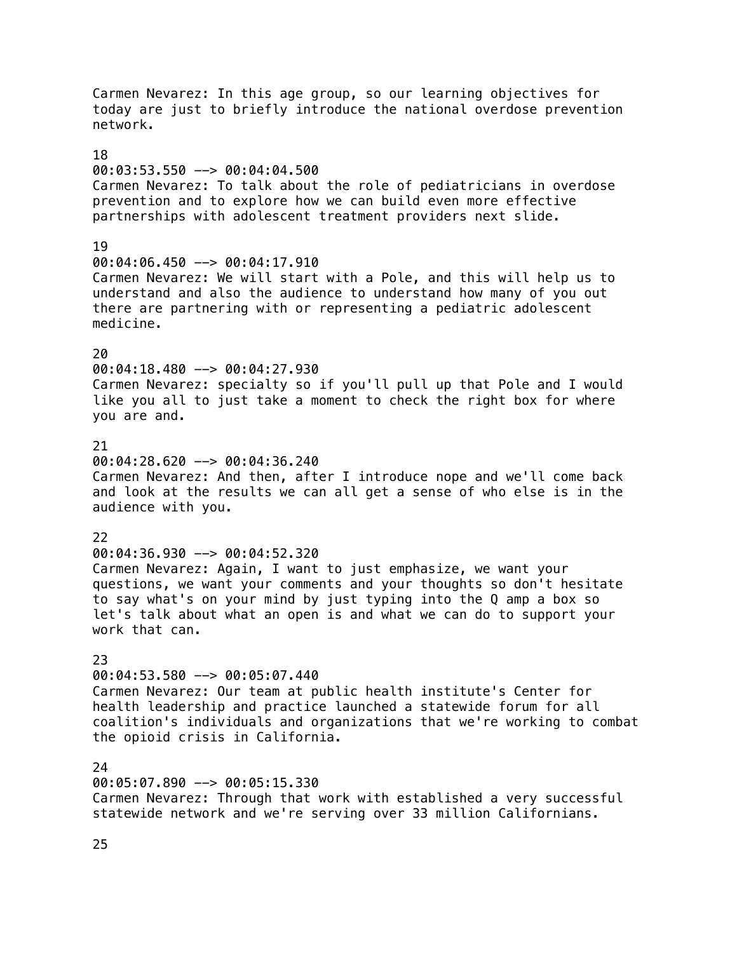Carmen Nevarez: In this age group, so our learning objectives for today are just to briefly introduce the national overdose prevention network. 18 00:03:53.550 --> 00:04:04.500 Carmen Nevarez: To talk about the role of pediatricians in overdose prevention and to explore how we can build even more effective partnerships with adolescent treatment providers next slide. 19 00:04:06.450 --> 00:04:17.910 Carmen Nevarez: We will start with a Pole, and this will help us to understand and also the audience to understand how many of you out there are partnering with or representing a pediatric adolescent medicine.  $20$ 00:04:18.480 --> 00:04:27.930 Carmen Nevarez: specialty so if you'll pull up that Pole and I would like you all to just take a moment to check the right box for where you are and. 21 00:04:28.620 --> 00:04:36.240 Carmen Nevarez: And then, after I introduce nope and we'll come back and look at the results we can all get a sense of who else is in the audience with you. 22 00:04:36.930 --> 00:04:52.320 Carmen Nevarez: Again, I want to just emphasize, we want your questions, we want your comments and your thoughts so don't hesitate to say what's on your mind by just typing into the Q amp a box so let's talk about what an open is and what we can do to support your work that can. 23 00:04:53.580 --> 00:05:07.440 Carmen Nevarez: Our team at public health institute's Center for health leadership and practice launched a statewide forum for all coalition's individuals and organizations that we're working to combat the opioid crisis in California. 24 00:05:07.890 --> 00:05:15.330 Carmen Nevarez: Through that work with established a very successful statewide network and we're serving over 33 million Californians.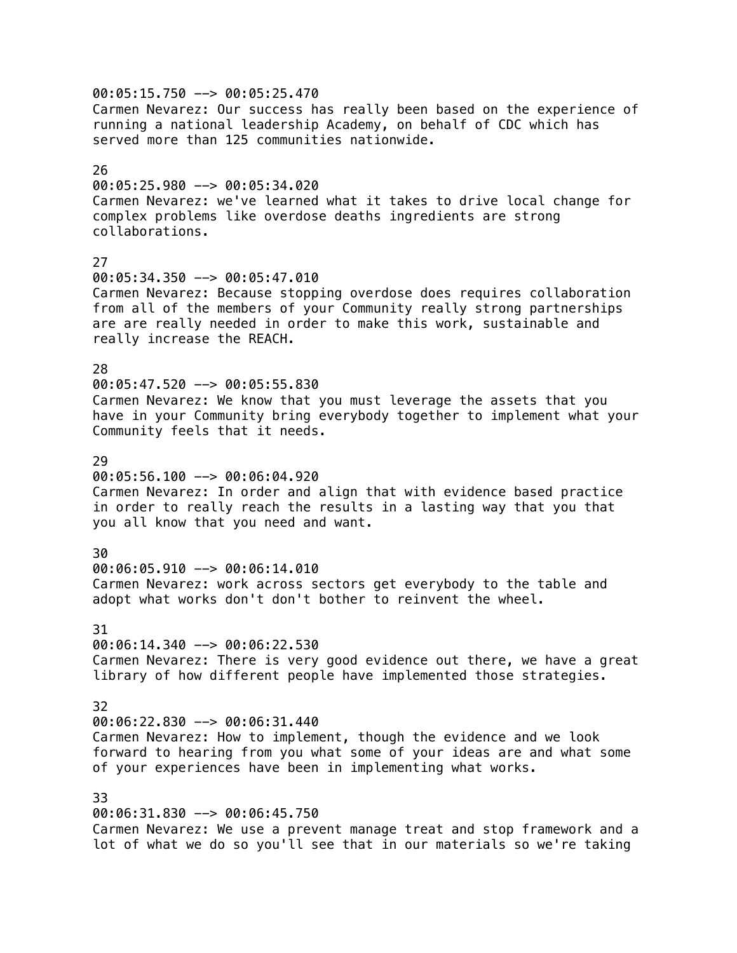00:05:15.750 --> 00:05:25.470 Carmen Nevarez: Our success has really been based on the experience of running a national leadership Academy, on behalf of CDC which has served more than 125 communities nationwide. 26 00:05:25.980 --> 00:05:34.020 Carmen Nevarez: we've learned what it takes to drive local change for complex problems like overdose deaths ingredients are strong collaborations. 27 00:05:34.350 --> 00:05:47.010 Carmen Nevarez: Because stopping overdose does requires collaboration from all of the members of your Community really strong partnerships are are really needed in order to make this work, sustainable and really increase the REACH. 28 00:05:47.520 --> 00:05:55.830 Carmen Nevarez: We know that you must leverage the assets that you have in your Community bring everybody together to implement what your Community feels that it needs. 29 00:05:56.100 --> 00:06:04.920 Carmen Nevarez: In order and align that with evidence based practice in order to really reach the results in a lasting way that you that you all know that you need and want. 30 00:06:05.910 --> 00:06:14.010 Carmen Nevarez: work across sectors get everybody to the table and adopt what works don't don't bother to reinvent the wheel. 31  $00:06:14.340$  -->  $00:06:22.530$ Carmen Nevarez: There is very good evidence out there, we have a great library of how different people have implemented those strategies. 32 00:06:22.830 --> 00:06:31.440 Carmen Nevarez: How to implement, though the evidence and we look forward to hearing from you what some of your ideas are and what some of your experiences have been in implementing what works. 33 00:06:31.830 --> 00:06:45.750 Carmen Nevarez: We use a prevent manage treat and stop framework and a lot of what we do so you'll see that in our materials so we're taking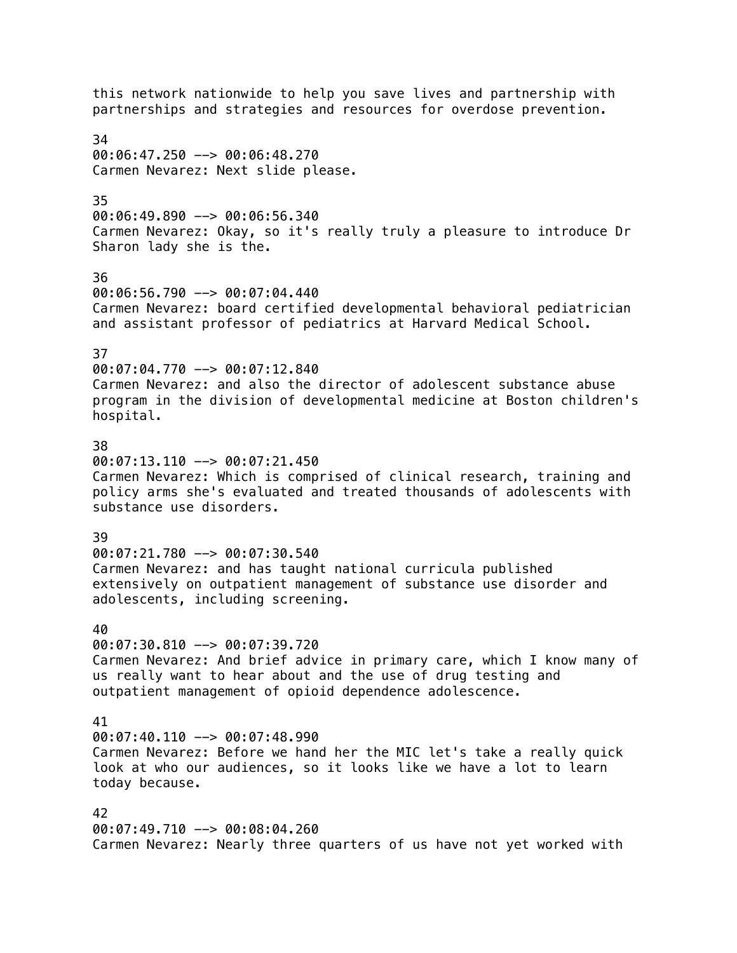this network nationwide to help you save lives and partnership with partnerships and strategies and resources for overdose prevention. 34  $00:06:47.250$  -->  $00:06:48.270$ Carmen Nevarez: Next slide please. 35  $00:06:49.890$  -->  $00:06:56.340$ Carmen Nevarez: Okay, so it's really truly a pleasure to introduce Dr Sharon lady she is the. 36 00:06:56.790 --> 00:07:04.440 Carmen Nevarez: board certified developmental behavioral pediatrician and assistant professor of pediatrics at Harvard Medical School. 37 00:07:04.770 --> 00:07:12.840 Carmen Nevarez: and also the director of adolescent substance abuse program in the division of developmental medicine at Boston children's hospital. 38  $00:07:13.110$  -->  $00:07:21.450$ Carmen Nevarez: Which is comprised of clinical research, training and policy arms she's evaluated and treated thousands of adolescents with substance use disorders. 39 00:07:21.780 --> 00:07:30.540 Carmen Nevarez: and has taught national curricula published extensively on outpatient management of substance use disorder and adolescents, including screening. 40  $00:07:30.810$  -->  $00:07:39.720$ Carmen Nevarez: And brief advice in primary care, which I know many of us really want to hear about and the use of drug testing and outpatient management of opioid dependence adolescence. 41  $00:07:40.110$  -->  $00:07:48.990$ Carmen Nevarez: Before we hand her the MIC let's take a really quick look at who our audiences, so it looks like we have a lot to learn today because. 42 00:07:49.710 --> 00:08:04.260 Carmen Nevarez: Nearly three quarters of us have not yet worked with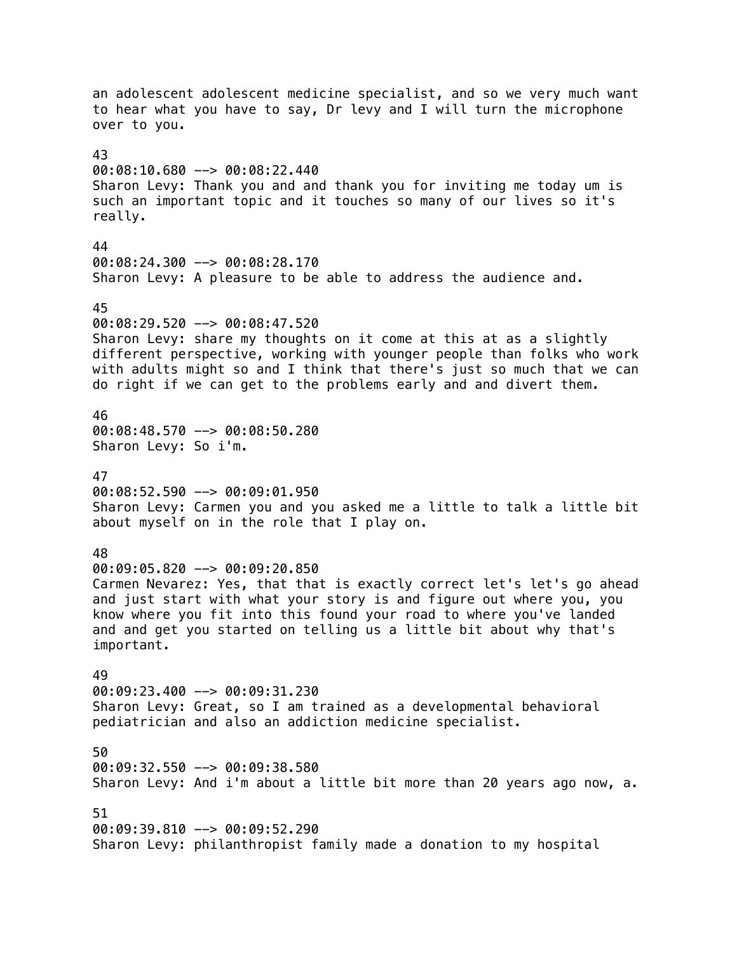an adolescent adolescent medicine specialist, and so we very much want to hear what you have to say, Dr levy and I will turn the microphone over to you. 43 00:08:10.680 --> 00:08:22.440 Sharon Levy: Thank you and and thank you for inviting me today um is such an important topic and it touches so many of our lives so it's really. 44 00:08:24.300 --> 00:08:28.170 Sharon Levy: A pleasure to be able to address the audience and. 45 00:08:29.520 --> 00:08:47.520 Sharon Levy: share my thoughts on it come at this at as a slightly different perspective, working with younger people than folks who work with adults might so and I think that there's just so much that we can do right if we can get to the problems early and and divert them. 46 00:08:48.570 --> 00:08:50.280 Sharon Levy: So i'm. 47 00:08:52.590 --> 00:09:01.950 Sharon Levy: Carmen you and you asked me a little to talk a little bit about myself on in the role that I play on. 48 00:09:05.820 --> 00:09:20.850 Carmen Nevarez: Yes, that that is exactly correct let's let's go ahead and just start with what your story is and figure out where you, you know where you fit into this found your road to where you've landed and and get you started on telling us a little bit about why that's important. 49 00:09:23.400 --> 00:09:31.230 Sharon Levy: Great, so I am trained as a developmental behavioral pediatrician and also an addiction medicine specialist. 50 00:09:32.550 --> 00:09:38.580 Sharon Levy: And i'm about a little bit more than 20 years ago now, a. 51 00:09:39.810 --> 00:09:52.290 Sharon Levy: philanthropist family made a donation to my hospital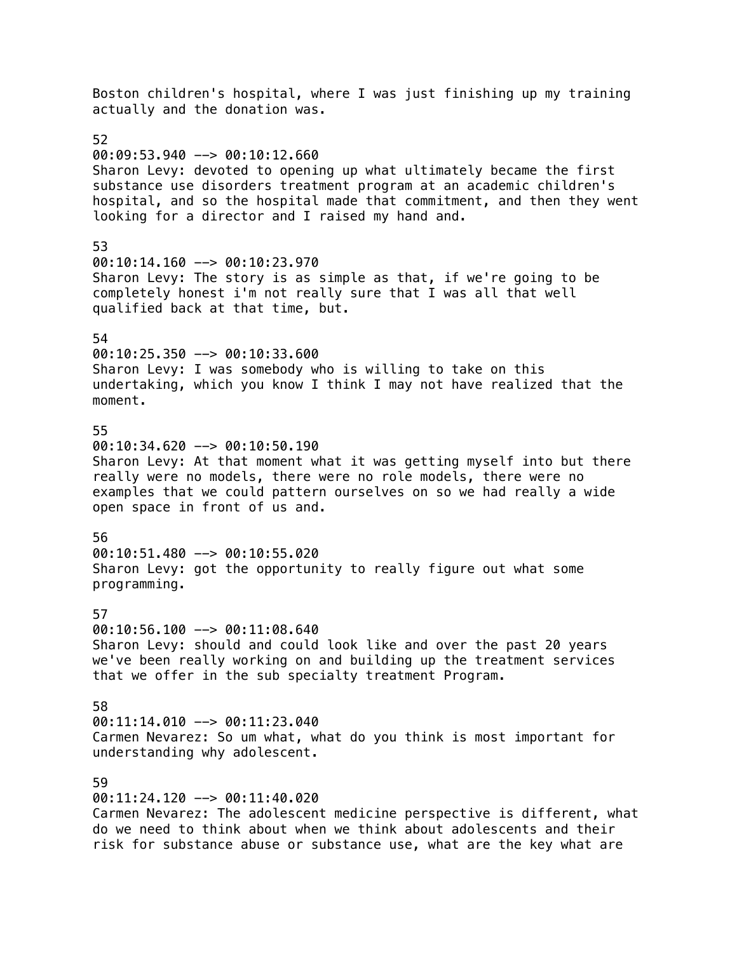Boston children's hospital, where I was just finishing up my training actually and the donation was. 52 00:09:53.940 --> 00:10:12.660 Sharon Levy: devoted to opening up what ultimately became the first substance use disorders treatment program at an academic children's hospital, and so the hospital made that commitment, and then they went looking for a director and I raised my hand and. 53 00:10:14.160 --> 00:10:23.970 Sharon Levy: The story is as simple as that, if we're going to be completely honest i'm not really sure that I was all that well qualified back at that time, but. 54 00:10:25.350 --> 00:10:33.600 Sharon Levy: I was somebody who is willing to take on this undertaking, which you know I think I may not have realized that the moment. 55  $00:10:34.620$  -->  $00:10:50.190$ Sharon Levy: At that moment what it was getting myself into but there really were no models, there were no role models, there were no examples that we could pattern ourselves on so we had really a wide open space in front of us and. 56 00:10:51.480 --> 00:10:55.020 Sharon Levy: got the opportunity to really figure out what some programming. 57 00:10:56.100 --> 00:11:08.640 Sharon Levy: should and could look like and over the past 20 years we've been really working on and building up the treatment services that we offer in the sub specialty treatment Program. 58 00:11:14.010 --> 00:11:23.040 Carmen Nevarez: So um what, what do you think is most important for understanding why adolescent. 59 00:11:24.120 --> 00:11:40.020 Carmen Nevarez: The adolescent medicine perspective is different, what

do we need to think about when we think about adolescents and their risk for substance abuse or substance use, what are the key what are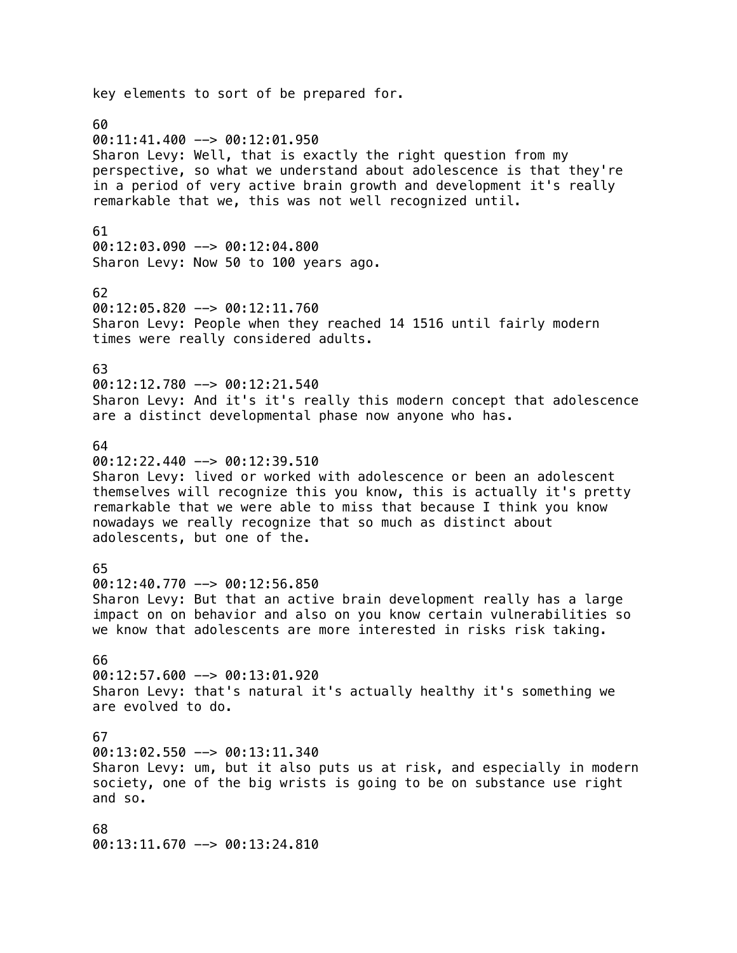key elements to sort of be prepared for. 60 00:11:41.400 --> 00:12:01.950 Sharon Levy: Well, that is exactly the right question from my perspective, so what we understand about adolescence is that they're in a period of very active brain growth and development it's really remarkable that we, this was not well recognized until. 61 00:12:03.090 --> 00:12:04.800 Sharon Levy: Now 50 to 100 years ago. 62  $00:12:05.820$  -->  $00:12:11.760$ Sharon Levy: People when they reached 14 1516 until fairly modern times were really considered adults. 63  $00:12:12.780$  -->  $00:12:21.540$ Sharon Levy: And it's it's really this modern concept that adolescence are a distinct developmental phase now anyone who has. 64  $00:12:22.440$  -->  $00:12:39.510$ Sharon Levy: lived or worked with adolescence or been an adolescent themselves will recognize this you know, this is actually it's pretty remarkable that we were able to miss that because I think you know nowadays we really recognize that so much as distinct about adolescents, but one of the. 65 00:12:40.770 --> 00:12:56.850 Sharon Levy: But that an active brain development really has a large impact on on behavior and also on you know certain vulnerabilities so we know that adolescents are more interested in risks risk taking. 66 00:12:57.600 --> 00:13:01.920 Sharon Levy: that's natural it's actually healthy it's something we are evolved to do. 67 00:13:02.550 --> 00:13:11.340 Sharon Levy: um, but it also puts us at risk, and especially in modern society, one of the big wrists is going to be on substance use right and so. 68 00:13:11.670 --> 00:13:24.810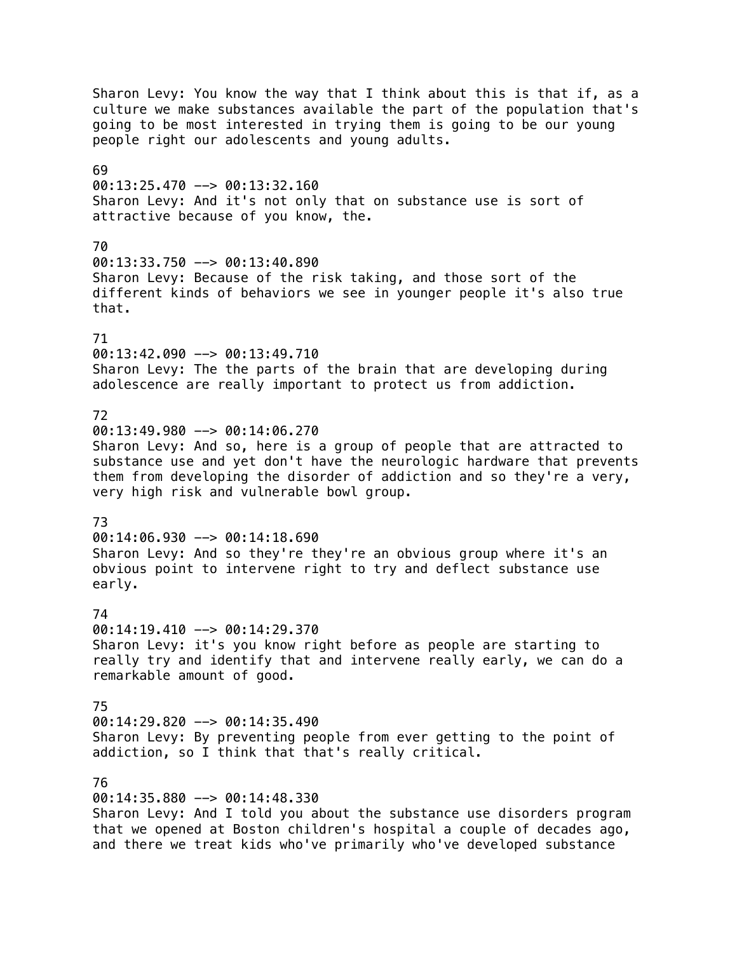Sharon Levy: You know the way that I think about this is that if, as a culture we make substances available the part of the population that's going to be most interested in trying them is going to be our young people right our adolescents and young adults. 69 00:13:25.470 --> 00:13:32.160 Sharon Levy: And it's not only that on substance use is sort of attractive because of you know, the. 70 00:13:33.750 --> 00:13:40.890 Sharon Levy: Because of the risk taking, and those sort of the different kinds of behaviors we see in younger people it's also true that. 71 00:13:42.090 --> 00:13:49.710 Sharon Levy: The the parts of the brain that are developing during adolescence are really important to protect us from addiction. 72 00:13:49.980 --> 00:14:06.270 Sharon Levy: And so, here is a group of people that are attracted to substance use and yet don't have the neurologic hardware that prevents them from developing the disorder of addiction and so they're a very, very high risk and vulnerable bowl group. 73 00:14:06.930 --> 00:14:18.690 Sharon Levy: And so they're they're an obvious group where it's an obvious point to intervene right to try and deflect substance use early. 74 00:14:19.410 --> 00:14:29.370 Sharon Levy: it's you know right before as people are starting to really try and identify that and intervene really early, we can do a remarkable amount of good. 75 00:14:29.820 --> 00:14:35.490 Sharon Levy: By preventing people from ever getting to the point of addiction, so I think that that's really critical. 76 00:14:35.880 --> 00:14:48.330 Sharon Levy: And I told you about the substance use disorders program

that we opened at Boston children's hospital a couple of decades ago, and there we treat kids who've primarily who've developed substance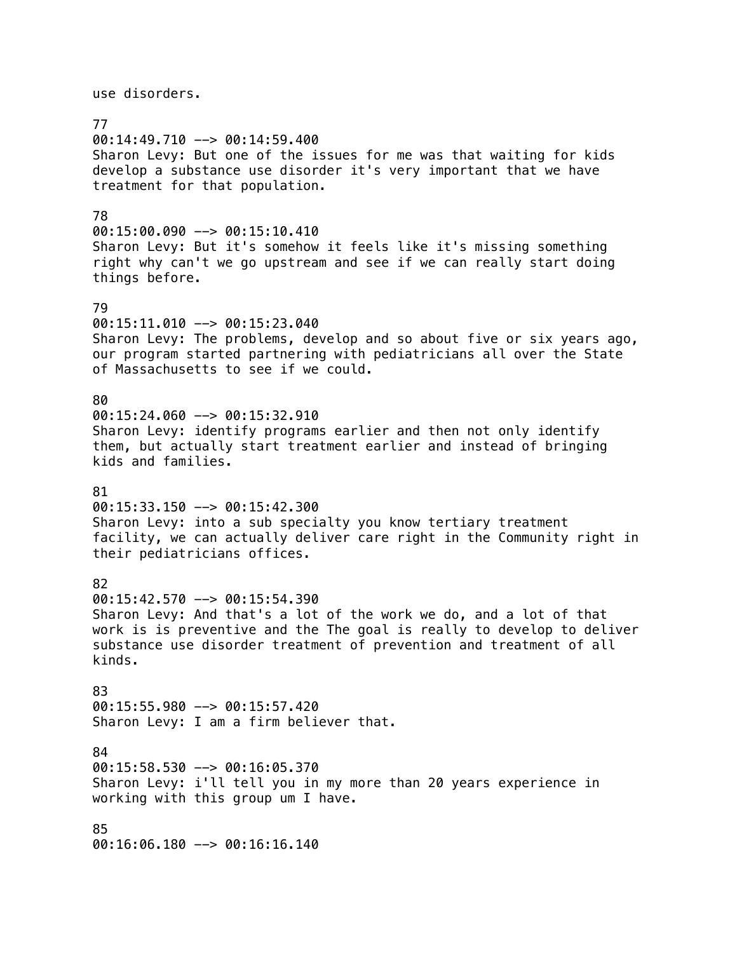use disorders. 77 00:14:49.710 --> 00:14:59.400 Sharon Levy: But one of the issues for me was that waiting for kids develop a substance use disorder it's very important that we have treatment for that population. 78 00:15:00.090 --> 00:15:10.410 Sharon Levy: But it's somehow it feels like it's missing something right why can't we go upstream and see if we can really start doing things before. 79 00:15:11.010 --> 00:15:23.040 Sharon Levy: The problems, develop and so about five or six years ago, our program started partnering with pediatricians all over the State of Massachusetts to see if we could. 80  $00:15:24.060$  -->  $00:15:32.910$ Sharon Levy: identify programs earlier and then not only identify them, but actually start treatment earlier and instead of bringing kids and families. 81 00:15:33.150 --> 00:15:42.300 Sharon Levy: into a sub specialty you know tertiary treatment facility, we can actually deliver care right in the Community right in their pediatricians offices. 82 00:15:42.570 --> 00:15:54.390 Sharon Levy: And that's a lot of the work we do, and a lot of that work is is preventive and the The goal is really to develop to deliver substance use disorder treatment of prevention and treatment of all kinds. 83 00:15:55.980 --> 00:15:57.420 Sharon Levy: I am a firm believer that. 84 00:15:58.530 --> 00:16:05.370 Sharon Levy: i'll tell you in my more than 20 years experience in working with this group um I have. 85 00:16:06.180 --> 00:16:16.140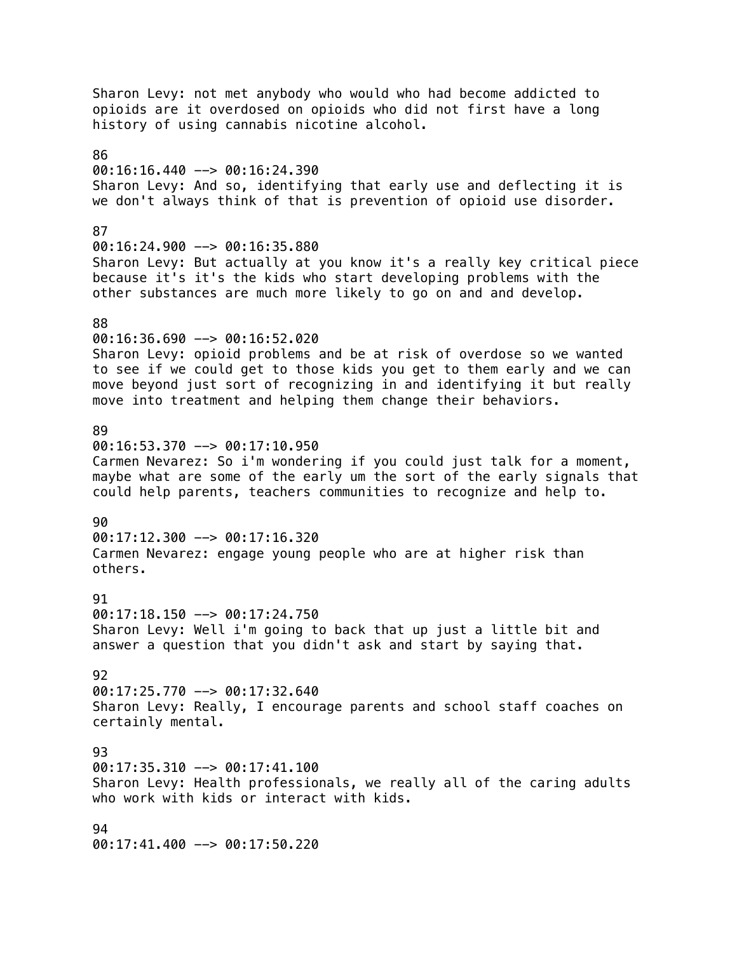Sharon Levy: not met anybody who would who had become addicted to opioids are it overdosed on opioids who did not first have a long history of using cannabis nicotine alcohol. 86  $00:16:16.440$  -->  $00:16:24.390$ Sharon Levy: And so, identifying that early use and deflecting it is we don't always think of that is prevention of opioid use disorder. 87 00:16:24.900 --> 00:16:35.880 Sharon Levy: But actually at you know it's a really key critical piece because it's it's the kids who start developing problems with the other substances are much more likely to go on and and develop. 88 00:16:36.690 --> 00:16:52.020 Sharon Levy: opioid problems and be at risk of overdose so we wanted to see if we could get to those kids you get to them early and we can move beyond just sort of recognizing in and identifying it but really move into treatment and helping them change their behaviors. 89  $00:16:53.370$  -->  $00:17:10.950$ Carmen Nevarez: So i'm wondering if you could just talk for a moment, maybe what are some of the early um the sort of the early signals that could help parents, teachers communities to recognize and help to.  $90$ 00:17:12.300 --> 00:17:16.320 Carmen Nevarez: engage young people who are at higher risk than others. 91 00:17:18.150 --> 00:17:24.750 Sharon Levy: Well i'm going to back that up just a little bit and answer a question that you didn't ask and start by saying that. 92 00:17:25.770 --> 00:17:32.640 Sharon Levy: Really, I encourage parents and school staff coaches on certainly mental. 93 00:17:35.310 --> 00:17:41.100 Sharon Levy: Health professionals, we really all of the caring adults who work with kids or interact with kids. 94 00:17:41.400 --> 00:17:50.220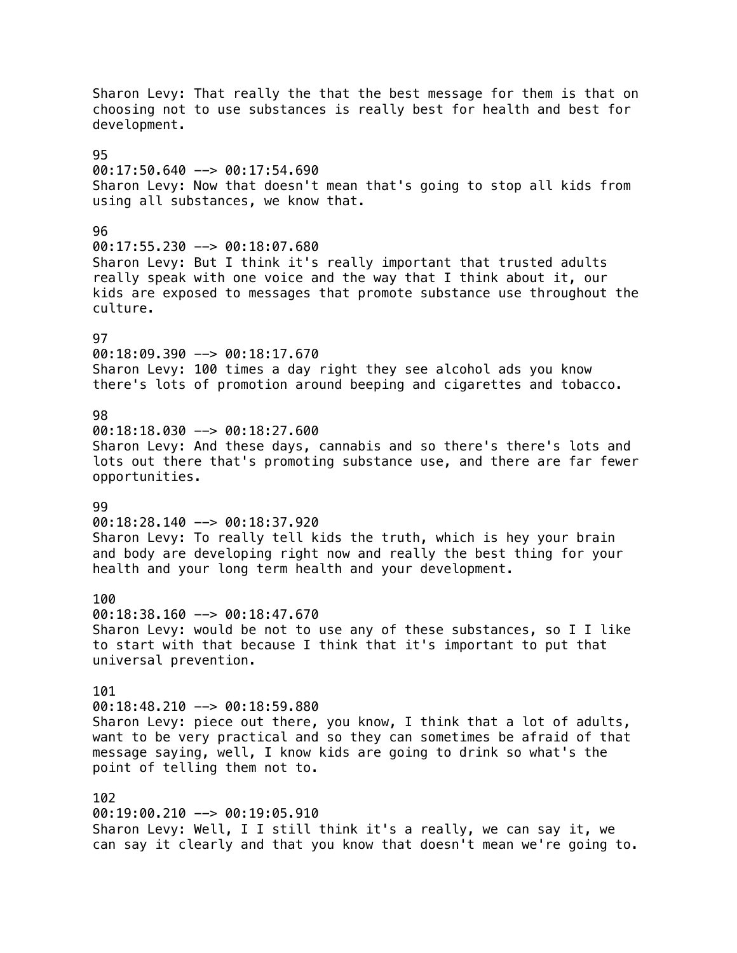Sharon Levy: That really the that the best message for them is that on choosing not to use substances is really best for health and best for development. 95  $00:17:50.640$  -->  $00:17:54.690$ Sharon Levy: Now that doesn't mean that's going to stop all kids from using all substances, we know that. 96  $00:17:55.230$  -->  $00:18:07.680$ Sharon Levy: But I think it's really important that trusted adults really speak with one voice and the way that I think about it, our kids are exposed to messages that promote substance use throughout the culture. 97 00:18:09.390 --> 00:18:17.670 Sharon Levy: 100 times a day right they see alcohol ads you know there's lots of promotion around beeping and cigarettes and tobacco. 98 00:18:18.030 --> 00:18:27.600 Sharon Levy: And these days, cannabis and so there's there's lots and lots out there that's promoting substance use, and there are far fewer opportunities.  $99$ 00:18:28.140 --> 00:18:37.920 Sharon Levy: To really tell kids the truth, which is hey your brain and body are developing right now and really the best thing for your health and your long term health and your development. 100 00:18:38.160 --> 00:18:47.670 Sharon Levy: would be not to use any of these substances, so I I like to start with that because I think that it's important to put that universal prevention. 101 00:18:48.210 --> 00:18:59.880 Sharon Levy: piece out there, you know, I think that a lot of adults, want to be very practical and so they can sometimes be afraid of that message saying, well, I know kids are going to drink so what's the point of telling them not to. 102 00:19:00.210 --> 00:19:05.910 Sharon Levy: Well, I I still think it's a really, we can say it, we can say it clearly and that you know that doesn't mean we're going to.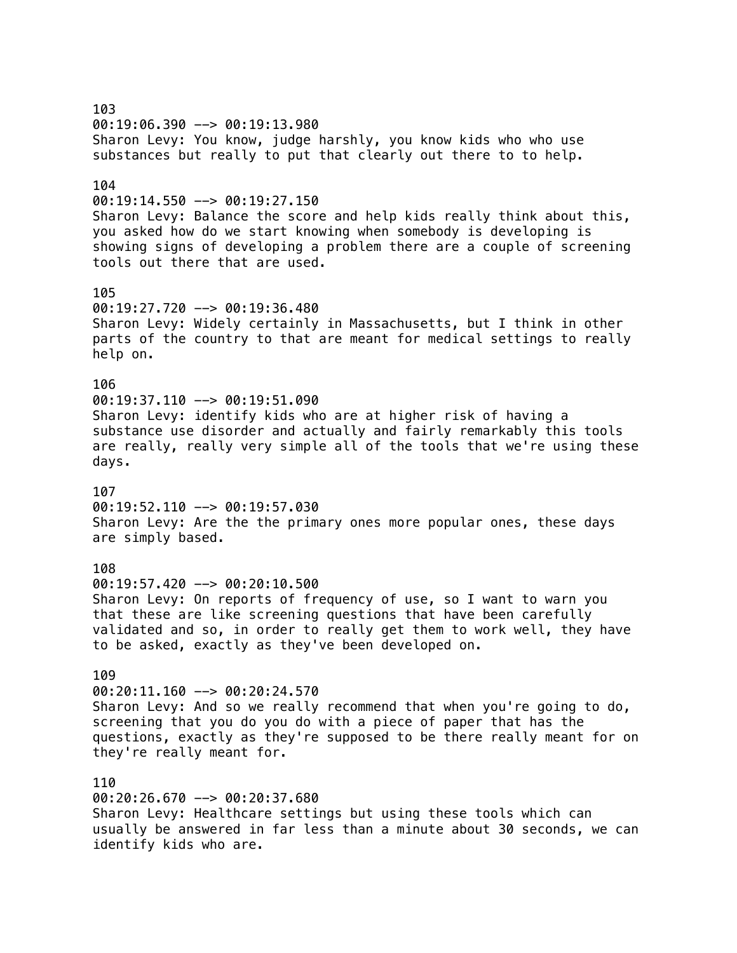103 00:19:06.390 --> 00:19:13.980 Sharon Levy: You know, judge harshly, you know kids who who use substances but really to put that clearly out there to to help. 104 00:19:14.550 --> 00:19:27.150 Sharon Levy: Balance the score and help kids really think about this, you asked how do we start knowing when somebody is developing is showing signs of developing a problem there are a couple of screening tools out there that are used. 105 00:19:27.720 --> 00:19:36.480 Sharon Levy: Widely certainly in Massachusetts, but I think in other parts of the country to that are meant for medical settings to really help on. 106  $00:19:37.110$  -->  $00:19:51.090$ Sharon Levy: identify kids who are at higher risk of having a substance use disorder and actually and fairly remarkably this tools are really, really very simple all of the tools that we're using these days. 107 00:19:52.110 --> 00:19:57.030 Sharon Levy: Are the the primary ones more popular ones, these days are simply based. 108 00:19:57.420 --> 00:20:10.500 Sharon Levy: On reports of frequency of use, so I want to warn you that these are like screening questions that have been carefully validated and so, in order to really get them to work well, they have to be asked, exactly as they've been developed on. 109 00:20:11.160 --> 00:20:24.570 Sharon Levy: And so we really recommend that when you're going to do, screening that you do you do with a piece of paper that has the questions, exactly as they're supposed to be there really meant for on they're really meant for. 110 00:20:26.670 --> 00:20:37.680 Sharon Levy: Healthcare settings but using these tools which can usually be answered in far less than a minute about 30 seconds, we can

identify kids who are.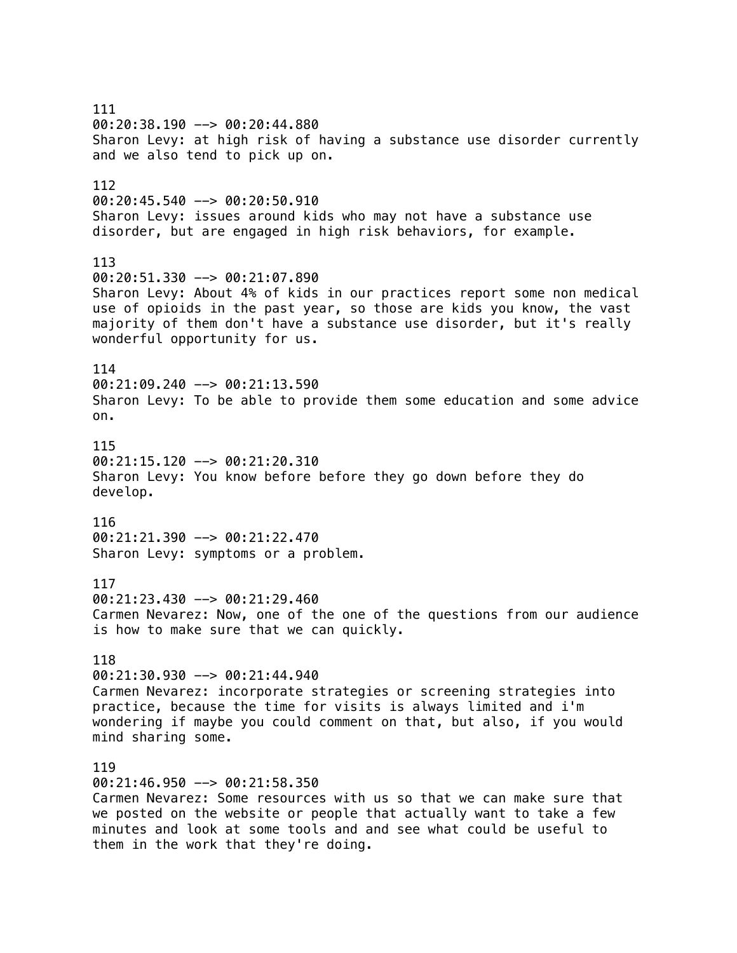111 00:20:38.190 --> 00:20:44.880 Sharon Levy: at high risk of having a substance use disorder currently and we also tend to pick up on. 112  $00:20:45.540$  -->  $00:20:50.910$ Sharon Levy: issues around kids who may not have a substance use disorder, but are engaged in high risk behaviors, for example. 113 00:20:51.330 --> 00:21:07.890 Sharon Levy: About 4% of kids in our practices report some non medical use of opioids in the past year, so those are kids you know, the vast majority of them don't have a substance use disorder, but it's really wonderful opportunity for us. 114 00:21:09.240 --> 00:21:13.590 Sharon Levy: To be able to provide them some education and some advice on. 115  $00:21:15.120$  -->  $00:21:20.310$ Sharon Levy: You know before before they go down before they do develop. 116 00:21:21.390 --> 00:21:22.470 Sharon Levy: symptoms or a problem. 117 00:21:23.430 --> 00:21:29.460 Carmen Nevarez: Now, one of the one of the questions from our audience is how to make sure that we can quickly. 118 00:21:30.930 --> 00:21:44.940 Carmen Nevarez: incorporate strategies or screening strategies into practice, because the time for visits is always limited and i'm wondering if maybe you could comment on that, but also, if you would mind sharing some. 119  $00:21:46.950$  -->  $00:21:58.350$ Carmen Nevarez: Some resources with us so that we can make sure that we posted on the website or people that actually want to take a few minutes and look at some tools and and see what could be useful to them in the work that they're doing.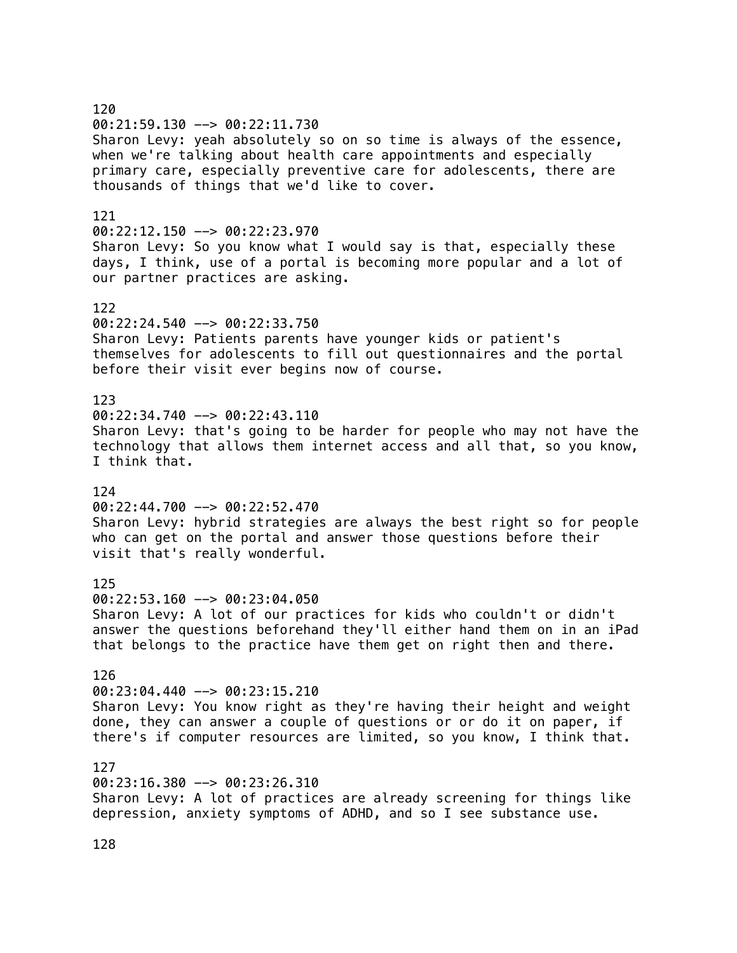120 00:21:59.130 --> 00:22:11.730 Sharon Levy: yeah absolutely so on so time is always of the essence, when we're talking about health care appointments and especially primary care, especially preventive care for adolescents, there are thousands of things that we'd like to cover. 121 00:22:12.150 --> 00:22:23.970 Sharon Levy: So you know what I would say is that, especially these days, I think, use of a portal is becoming more popular and a lot of our partner practices are asking. 122 00:22:24.540 --> 00:22:33.750 Sharon Levy: Patients parents have younger kids or patient's themselves for adolescents to fill out questionnaires and the portal before their visit ever begins now of course. 123  $00:22:34.740 \rightarrow 00:22:43.110$ Sharon Levy: that's going to be harder for people who may not have the technology that allows them internet access and all that, so you know, I think that. 124 00:22:44.700 --> 00:22:52.470 Sharon Levy: hybrid strategies are always the best right so for people who can get on the portal and answer those questions before their visit that's really wonderful. 125 00:22:53.160 --> 00:23:04.050 Sharon Levy: A lot of our practices for kids who couldn't or didn't answer the questions beforehand they'll either hand them on in an iPad that belongs to the practice have them get on right then and there. 126 00:23:04.440 --> 00:23:15.210 Sharon Levy: You know right as they're having their height and weight done, they can answer a couple of questions or or do it on paper, if there's if computer resources are limited, so you know, I think that. 127 00:23:16.380 --> 00:23:26.310 Sharon Levy: A lot of practices are already screening for things like depression, anxiety symptoms of ADHD, and so I see substance use.

128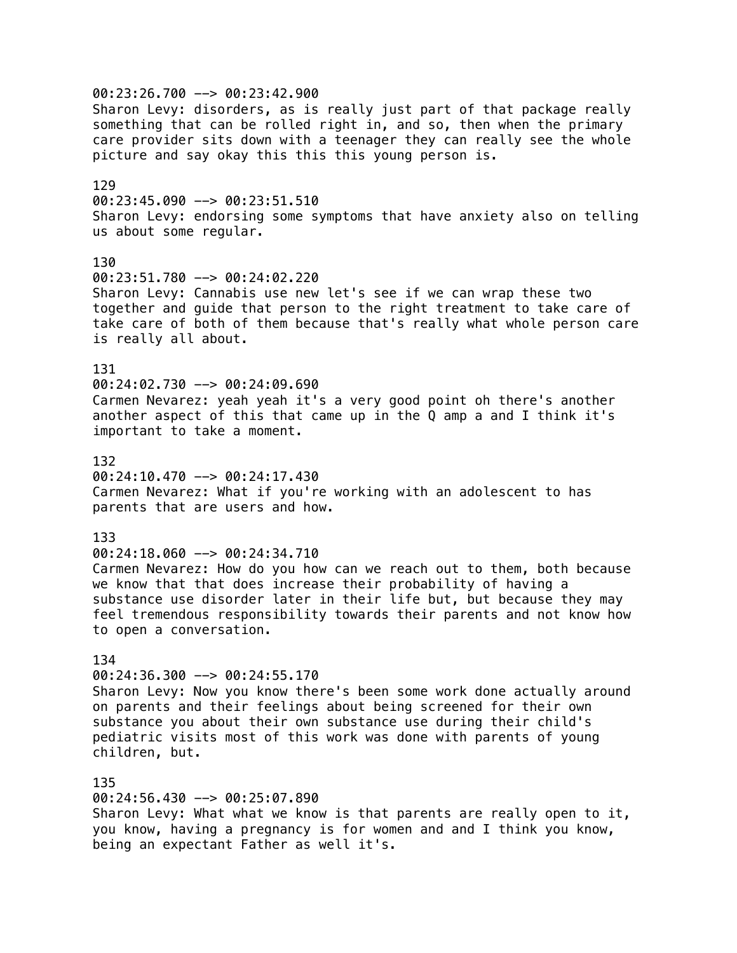00:23:26.700 --> 00:23:42.900 Sharon Levy: disorders, as is really just part of that package really something that can be rolled right in, and so, then when the primary care provider sits down with a teenager they can really see the whole picture and say okay this this this young person is. 129 00:23:45.090 --> 00:23:51.510 Sharon Levy: endorsing some symptoms that have anxiety also on telling us about some regular. 130 00:23:51.780 --> 00:24:02.220 Sharon Levy: Cannabis use new let's see if we can wrap these two together and guide that person to the right treatment to take care of take care of both of them because that's really what whole person care is really all about. 131 00:24:02.730 --> 00:24:09.690 Carmen Nevarez: yeah yeah it's a very good point oh there's another another aspect of this that came up in the Q amp a and I think it's important to take a moment. 132 00:24:10.470 --> 00:24:17.430 Carmen Nevarez: What if you're working with an adolescent to has parents that are users and how. 133 00:24:18.060 --> 00:24:34.710 Carmen Nevarez: How do you how can we reach out to them, both because we know that that does increase their probability of having a substance use disorder later in their life but, but because they may feel tremendous responsibility towards their parents and not know how to open a conversation. 134 00:24:36.300 --> 00:24:55.170 Sharon Levy: Now you know there's been some work done actually around on parents and their feelings about being screened for their own substance you about their own substance use during their child's pediatric visits most of this work was done with parents of young children, but. 135 00:24:56.430 --> 00:25:07.890 Sharon Levy: What what we know is that parents are really open to it, you know, having a pregnancy is for women and and I think you know, being an expectant Father as well it's.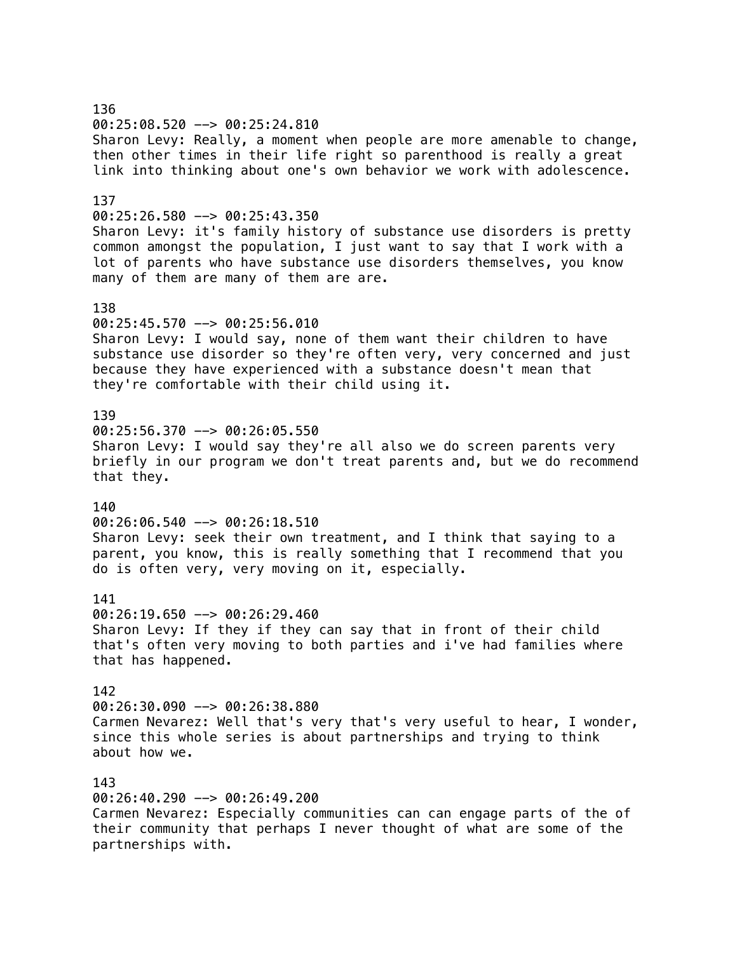136 00:25:08.520 --> 00:25:24.810 Sharon Levy: Really, a moment when people are more amenable to change, then other times in their life right so parenthood is really a great link into thinking about one's own behavior we work with adolescence. 137 00:25:26.580 --> 00:25:43.350 Sharon Levy: it's family history of substance use disorders is pretty common amongst the population, I just want to say that I work with a lot of parents who have substance use disorders themselves, you know many of them are many of them are are. 138 00:25:45.570 --> 00:25:56.010 Sharon Levy: I would say, none of them want their children to have substance use disorder so they're often very, very concerned and just because they have experienced with a substance doesn't mean that they're comfortable with their child using it. 139 00:25:56.370 --> 00:26:05.550 Sharon Levy: I would say they're all also we do screen parents very briefly in our program we don't treat parents and, but we do recommend that they. 140 00:26:06.540 --> 00:26:18.510 Sharon Levy: seek their own treatment, and I think that saying to a parent, you know, this is really something that I recommend that you do is often very, very moving on it, especially. 141 00:26:19.650 --> 00:26:29.460 Sharon Levy: If they if they can say that in front of their child that's often very moving to both parties and i've had families where that has happened. 142 00:26:30.090 --> 00:26:38.880 Carmen Nevarez: Well that's very that's very useful to hear, I wonder, since this whole series is about partnerships and trying to think about how we. 143 00:26:40.290 --> 00:26:49.200 Carmen Nevarez: Especially communities can can engage parts of the of their community that perhaps I never thought of what are some of the partnerships with.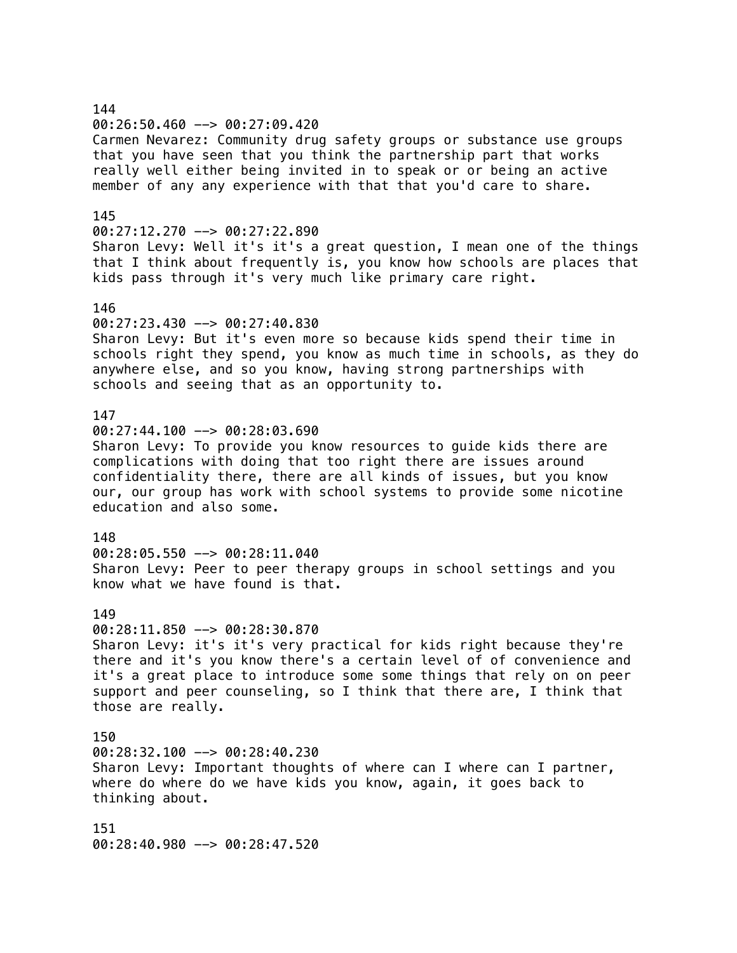## 144 00:26:50.460 --> 00:27:09.420 Carmen Nevarez: Community drug safety groups or substance use groups that you have seen that you think the partnership part that works really well either being invited in to speak or or being an active member of any any experience with that that you'd care to share. 145 00:27:12.270 --> 00:27:22.890 Sharon Levy: Well it's it's a great question, I mean one of the things that I think about frequently is, you know how schools are places that kids pass through it's very much like primary care right. 146 00:27:23.430 --> 00:27:40.830 Sharon Levy: But it's even more so because kids spend their time in schools right they spend, you know as much time in schools, as they do anywhere else, and so you know, having strong partnerships with schools and seeing that as an opportunity to. 147 00:27:44.100 --> 00:28:03.690 Sharon Levy: To provide you know resources to guide kids there are complications with doing that too right there are issues around confidentiality there, there are all kinds of issues, but you know our, our group has work with school systems to provide some nicotine education and also some. 148 00:28:05.550 --> 00:28:11.040 Sharon Levy: Peer to peer therapy groups in school settings and you know what we have found is that. 149 00:28:11.850 --> 00:28:30.870 Sharon Levy: it's it's very practical for kids right because they're there and it's you know there's a certain level of of convenience and it's a great place to introduce some some things that rely on on peer support and peer counseling, so I think that there are, I think that those are really. 150 00:28:32.100 --> 00:28:40.230 Sharon Levy: Important thoughts of where can I where can I partner, where do where do we have kids you know, again, it goes back to thinking about. 151 00:28:40.980 --> 00:28:47.520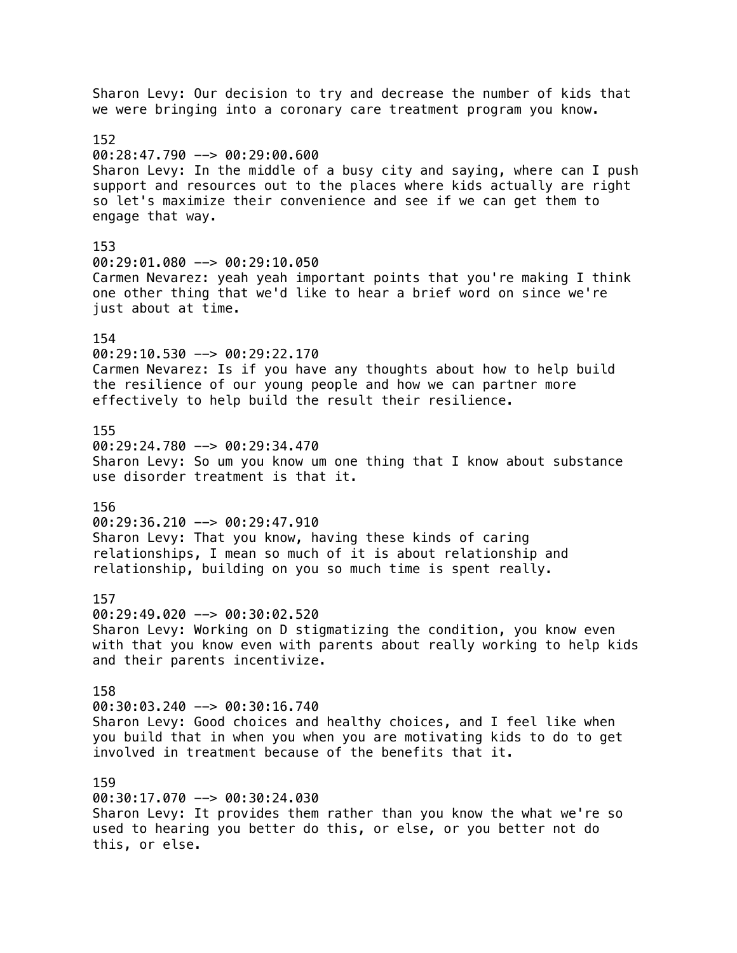Sharon Levy: Our decision to try and decrease the number of kids that we were bringing into a coronary care treatment program you know. 152  $00:28:47.790$  -->  $00:29:00.600$ Sharon Levy: In the middle of a busy city and saying, where can I push support and resources out to the places where kids actually are right so let's maximize their convenience and see if we can get them to engage that way. 153 00:29:01.080 --> 00:29:10.050 Carmen Nevarez: yeah yeah important points that you're making I think one other thing that we'd like to hear a brief word on since we're just about at time. 154 00:29:10.530 --> 00:29:22.170 Carmen Nevarez: Is if you have any thoughts about how to help build the resilience of our young people and how we can partner more effectively to help build the result their resilience. 155 00:29:24.780 --> 00:29:34.470 Sharon Levy: So um you know um one thing that I know about substance use disorder treatment is that it. 156 00:29:36.210 --> 00:29:47.910 Sharon Levy: That you know, having these kinds of caring relationships, I mean so much of it is about relationship and relationship, building on you so much time is spent really. 157 00:29:49.020 --> 00:30:02.520 Sharon Levy: Working on D stigmatizing the condition, you know even with that you know even with parents about really working to help kids and their parents incentivize. 158 00:30:03.240 --> 00:30:16.740 Sharon Levy: Good choices and healthy choices, and I feel like when you build that in when you when you are motivating kids to do to get involved in treatment because of the benefits that it. 159 00:30:17.070 --> 00:30:24.030 Sharon Levy: It provides them rather than you know the what we're so used to hearing you better do this, or else, or you better not do

this, or else.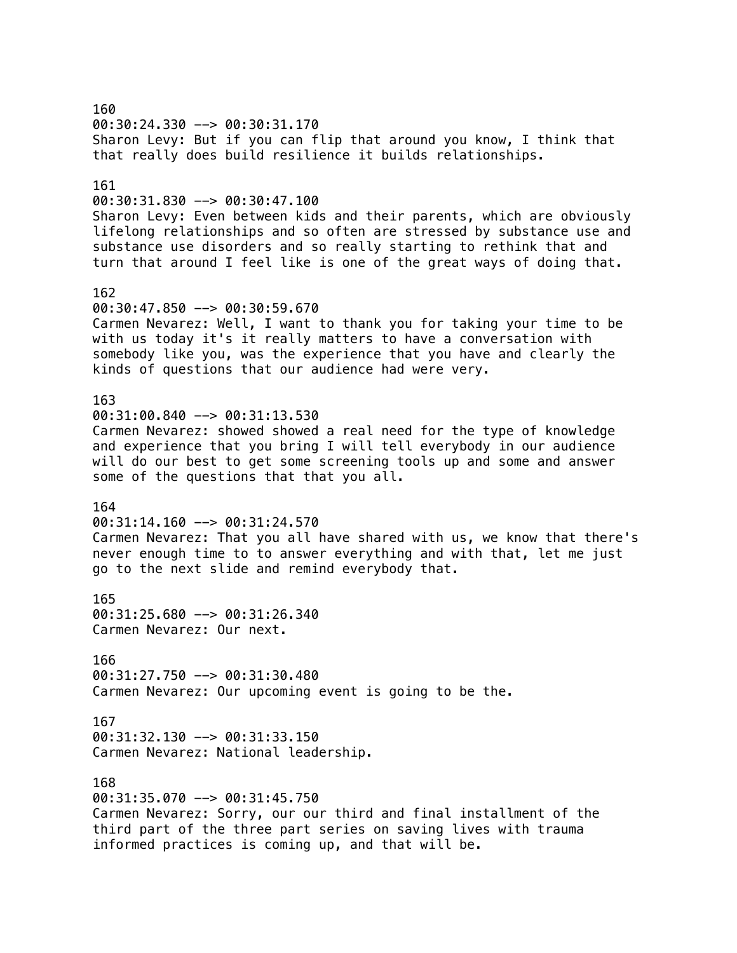160 00:30:24.330 --> 00:30:31.170 Sharon Levy: But if you can flip that around you know, I think that that really does build resilience it builds relationships. 161 00:30:31.830 --> 00:30:47.100 Sharon Levy: Even between kids and their parents, which are obviously lifelong relationships and so often are stressed by substance use and substance use disorders and so really starting to rethink that and turn that around I feel like is one of the great ways of doing that. 162 00:30:47.850 --> 00:30:59.670 Carmen Nevarez: Well, I want to thank you for taking your time to be with us today it's it really matters to have a conversation with somebody like you, was the experience that you have and clearly the kinds of questions that our audience had were very. 163 00:31:00.840 --> 00:31:13.530 Carmen Nevarez: showed showed a real need for the type of knowledge and experience that you bring I will tell everybody in our audience will do our best to get some screening tools up and some and answer some of the questions that that you all. 164 00:31:14.160 --> 00:31:24.570 Carmen Nevarez: That you all have shared with us, we know that there's never enough time to to answer everything and with that, let me just go to the next slide and remind everybody that. 165 00:31:25.680 --> 00:31:26.340 Carmen Nevarez: Our next. 166 00:31:27.750 --> 00:31:30.480 Carmen Nevarez: Our upcoming event is going to be the. 167  $00:31:32.130$  -->  $00:31:33.150$ Carmen Nevarez: National leadership. 168 00:31:35.070 --> 00:31:45.750 Carmen Nevarez: Sorry, our our third and final installment of the third part of the three part series on saving lives with trauma informed practices is coming up, and that will be.